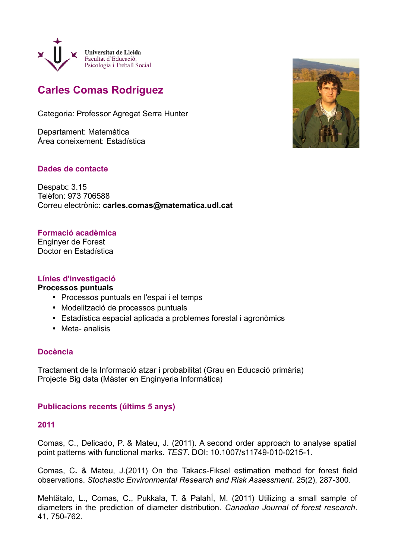

# **Carles Comas Rodríguez**

Categoria: Professor Agregat Serra Hunter

Departament: Matemàtica Àrea coneixement: Estadística

# **Dades de contacte**

Despatx: 3.15 Telèfon: 973 706588 Correu electrònic: **carles.comas@matematica.udl.cat**

# **Formació acadèmica**

Enginyer de Forest Doctor en Estadística

## **Línies d'investigació**

## **Processos puntuals**

- Processos puntuals en l'espai i el temps
- Modelització de processos puntuals
- Estadística espacial aplicada a problemes forestal i agronòmics
- Meta- analisis

## **Docència**

Tractament de la Informació atzar i probabilitat (Grau en Educació primària) Projecte Big data (Màster en Enginyeria Informàtica)

## **Publicacions recents (últims 5 anys)**

#### **2011**

Comas, C., Delicado, P. & Mateu, J. (2011). A second order approach to analyse spatial point patterns with functional marks. *TEST*. DOI: 10.1007/s11749-010-0215-1.

Comas, C**.** & Mateu, J.(2011) On the Takacs-Fiksel estimation method for forest field observations. *Stochastic Environmental Research and Risk Assessment*. 25(2), 287-300.

Mehtätalo, L., Comas, C**.**, Pukkala, T. & PalahÍ, M. (2011) Utilizing a small sample of diameters in the prediction of diameter distribution. *Canadian Journal of forest research*. 41, 750-762.

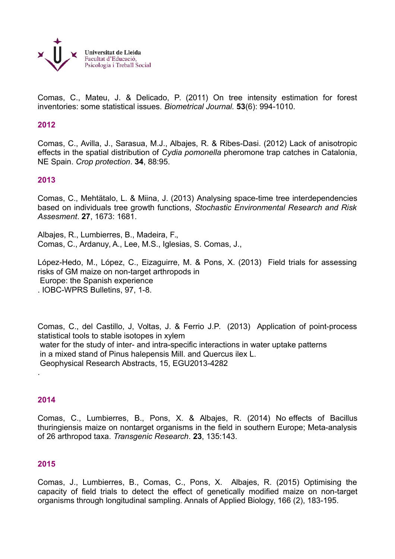

Comas, C., Mateu, J. & Delicado, P. (2011) On tree intensity estimation for forest inventories: some statistical issues. *Biometrical Journal.* **53**(6): 994-1010.

#### **2012**

Comas, C., Avilla, J., Sarasua, M.J., Albajes, R. & Ribes-Dasi. (2012) Lack of anisotropic effects in the spatial distribution of *Cydia pomonella* pheromone trap catches in Catalonia, NE Spain. *Crop protection*. **34**, 88:95.

#### **2013**

Comas, C., Mehtätalo, L. & Miina, J. (2013) Analysing space-time tree interdependencies based on individuals tree growth functions, *Stochastic Environmental Research and Risk Assesment*. **27**, 1673: 1681.

Albajes, R., Lumbierres, B., Madeira, F., Comas, C., Ardanuy, A., Lee, M.S., Iglesias, S. Comas, J.,

López-Hedo, M., López, C., Eizaguirre, M. & Pons, X. (2013) Field trials for assessing risks of GM maize on non-target arthropods in Europe: the Spanish experience . IOBC-WPRS Bulletins, 97, 1-8.

Comas, C., del Castillo, J, Voltas, J. & Ferrio J.P. (2013) Application of point-process statistical tools to stable isotopes in xylem water for the study of inter- and intra-specific interactions in water uptake patterns in a mixed stand of Pinus halepensis Mill. and Quercus ilex L. Geophysical Research Abstracts, 15, EGU2013-4282 .

#### **2014**

Comas, C., Lumbierres, B., Pons, X. & Albajes, R. (2014) No effects of Bacillus thuringiensis maize on nontarget organisms in the field in southern Europe; Meta-analysis of 26 arthropod taxa. *Transgenic Research*. **23**, 135:143.

#### **2015**

Comas, J., Lumbierres, B., Comas, C., Pons, X. Albajes, R. (2015) Optimising the capacity of field trials to detect the effect of genetically modified maize on non-target organisms through longitudinal sampling. Annals of Applied Biology, 166 (2), 183-195.